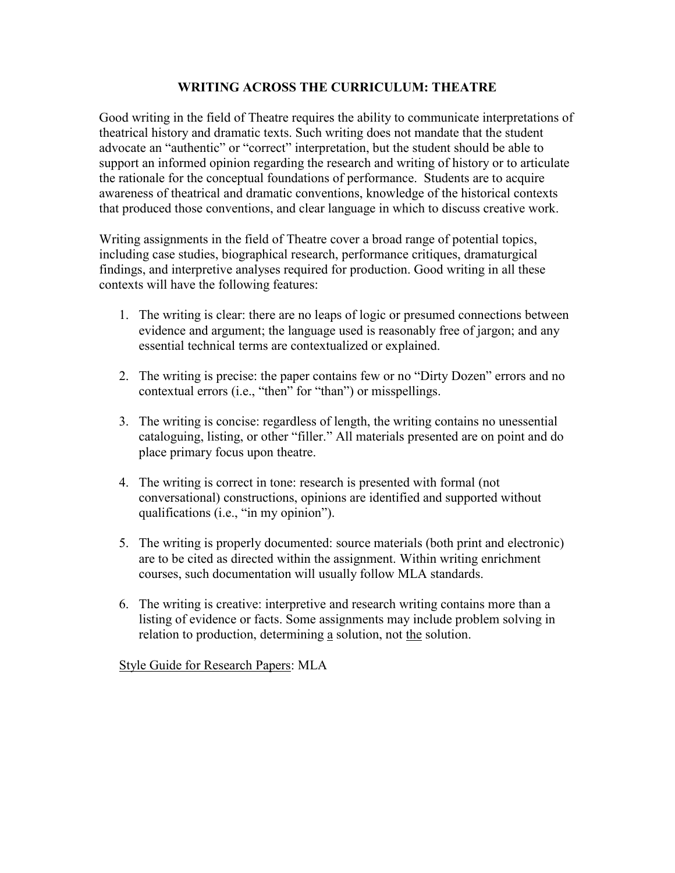## **WRITING ACROSS THE CURRICULUM: THEATRE**

Good writing in the field of Theatre requires the ability to communicate interpretations of theatrical history and dramatic texts. Such writing does not mandate that the student advocate an "authentic" or "correct" interpretation, but the student should be able to support an informed opinion regarding the research and writing of history or to articulate the rationale for the conceptual foundations of performance. Students are to acquire awareness of theatrical and dramatic conventions, knowledge of the historical contexts that produced those conventions, and clear language in which to discuss creative work.

Writing assignments in the field of Theatre cover a broad range of potential topics, including case studies, biographical research, performance critiques, dramaturgical findings, and interpretive analyses required for production. Good writing in all these contexts will have the following features:

- 1. The writing is clear: there are no leaps of logic or presumed connections between evidence and argument; the language used is reasonably free of jargon; and any essential technical terms are contextualized or explained.
- 2. The writing is precise: the paper contains few or no "Dirty Dozen" errors and no contextual errors (i.e., "then" for "than") or misspellings.
- 3. The writing is concise: regardless of length, the writing contains no unessential cataloguing, listing, or other "filler." All materials presented are on point and do place primary focus upon theatre.
- 4. The writing is correct in tone: research is presented with formal (not conversational) constructions, opinions are identified and supported without qualifications (i.e., "in my opinion").
- 5. The writing is properly documented: source materials (both print and electronic) are to be cited as directed within the assignment. Within writing enrichment courses, such documentation will usually follow MLA standards.
- 6. The writing is creative: interpretive and research writing contains more than a listing of evidence or facts. Some assignments may include problem solving in relation to production, determining a solution, not the solution.

Style Guide for Research Papers: MLA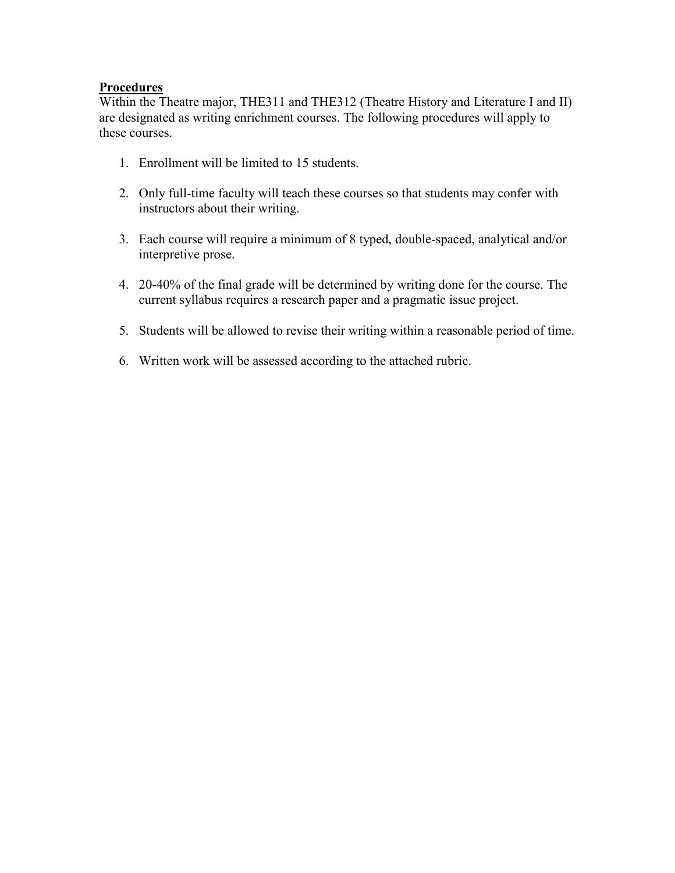## **Procedures**

Within the Theatre major, THE311 and THE312 (Theatre History and Literature I and II) are designated as writing enrichment courses. The following procedures will apply to these courses.

- 1. Enrollment will be limited to 15 students.
- 2. Only full-time faculty will teach these courses so that students may confer with instructors about their writing.
- 3. Each course will require a minimum of 8 typed, double-spaced, analytical and/or interpretive prose.
- 4. 20-40% of the final grade will be determined by writing done for the course. The current syllabus requires a research paper and a pragmatic issue project.
- 5. Students will be allowed to revise their writing within a reasonable period of time.
- 6. Written work will be assessed according to the attached rubric.